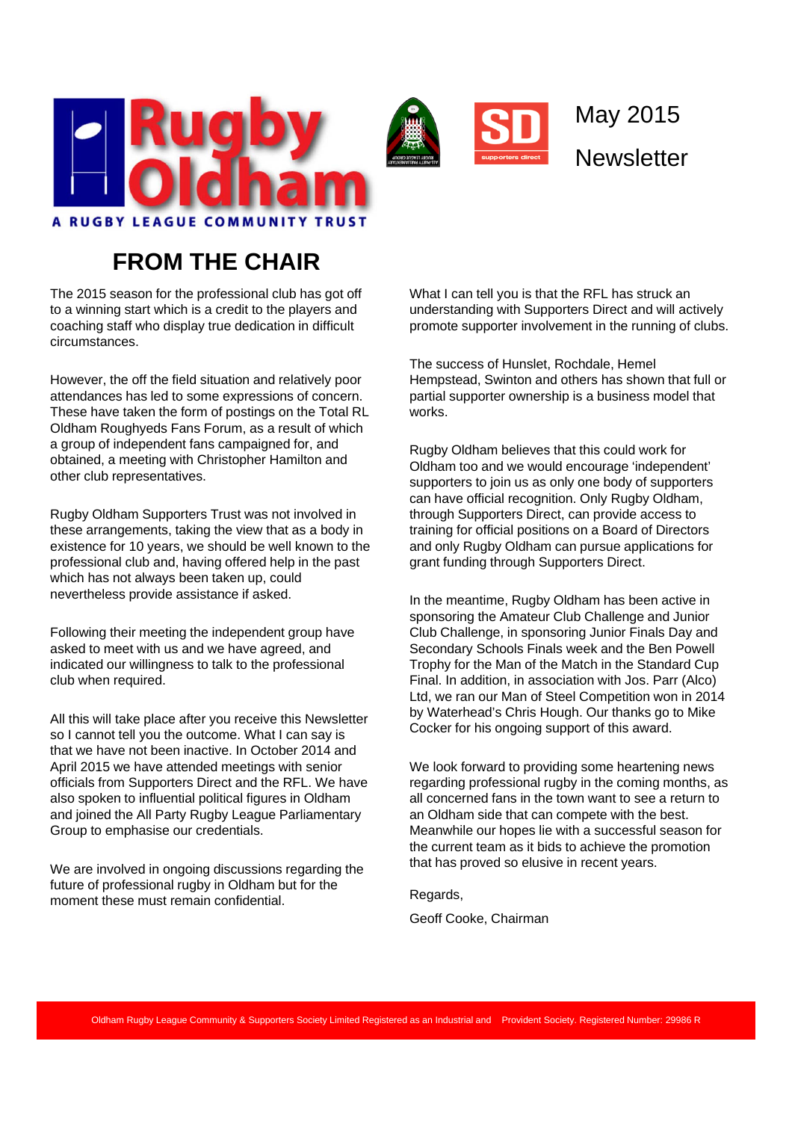

## **FROM THE CHAIR**

The 2015 season for the professional club has got off to a winning start which is a credit to the players and coaching staff who display true dedication in difficult circumstances.

However, the off the field situation and relatively poor attendances has led to some expressions of concern. These have taken the form of postings on the Total RL Oldham Roughyeds Fans Forum, as a result of which a group of independent fans campaigned for, and obtained, a meeting with Christopher Hamilton and other club representatives.

Rugby Oldham Supporters Trust was not involved in these arrangements, taking the view that as a body in existence for 10 years, we should be well known to the professional club and, having offered help in the past which has not always been taken up, could nevertheless provide assistance if asked.

Following their meeting the independent group have asked to meet with us and we have agreed, and indicated our willingness to talk to the professional club when required.

All this will take place after you receive this Newsletter so I cannot tell you the outcome. What I can say is that we have not been inactive. In October 2014 and April 2015 we have attended meetings with senior officials from Supporters Direct and the RFL. We have also spoken to influential political figures in Oldham and joined the All Party Rugby League Parliamentary Group to emphasise our credentials.

We are involved in ongoing discussions regarding the future of professional rugby in Oldham but for the moment these must remain confidential.

What I can tell you is that the RFL has struck an understanding with Supporters Direct and will actively promote supporter involvement in the running of clubs.

May 2015

**Newsletter** 

The success of Hunslet, Rochdale, Hemel Hempstead, Swinton and others has shown that full or partial supporter ownership is a business model that works.

Rugby Oldham believes that this could work for Oldham too and we would encourage 'independent' supporters to join us as only one body of supporters can have official recognition. Only Rugby Oldham, through Supporters Direct, can provide access to training for official positions on a Board of Directors and only Rugby Oldham can pursue applications for grant funding through Supporters Direct.

In the meantime, Rugby Oldham has been active in sponsoring the Amateur Club Challenge and Junior Club Challenge, in sponsoring Junior Finals Day and Secondary Schools Finals week and the Ben Powell Trophy for the Man of the Match in the Standard Cup Final. In addition, in association with Jos. Parr (Alco) Ltd, we ran our Man of Steel Competition won in 2014 by Waterhead's Chris Hough. Our thanks go to Mike Cocker for his ongoing support of this award.

We look forward to providing some heartening news regarding professional rugby in the coming months, as all concerned fans in the town want to see a return to an Oldham side that can compete with the best. Meanwhile our hopes lie with a successful season for the current team as it bids to achieve the promotion that has proved so elusive in recent years.

Regards,

Geoff Cooke, Chairman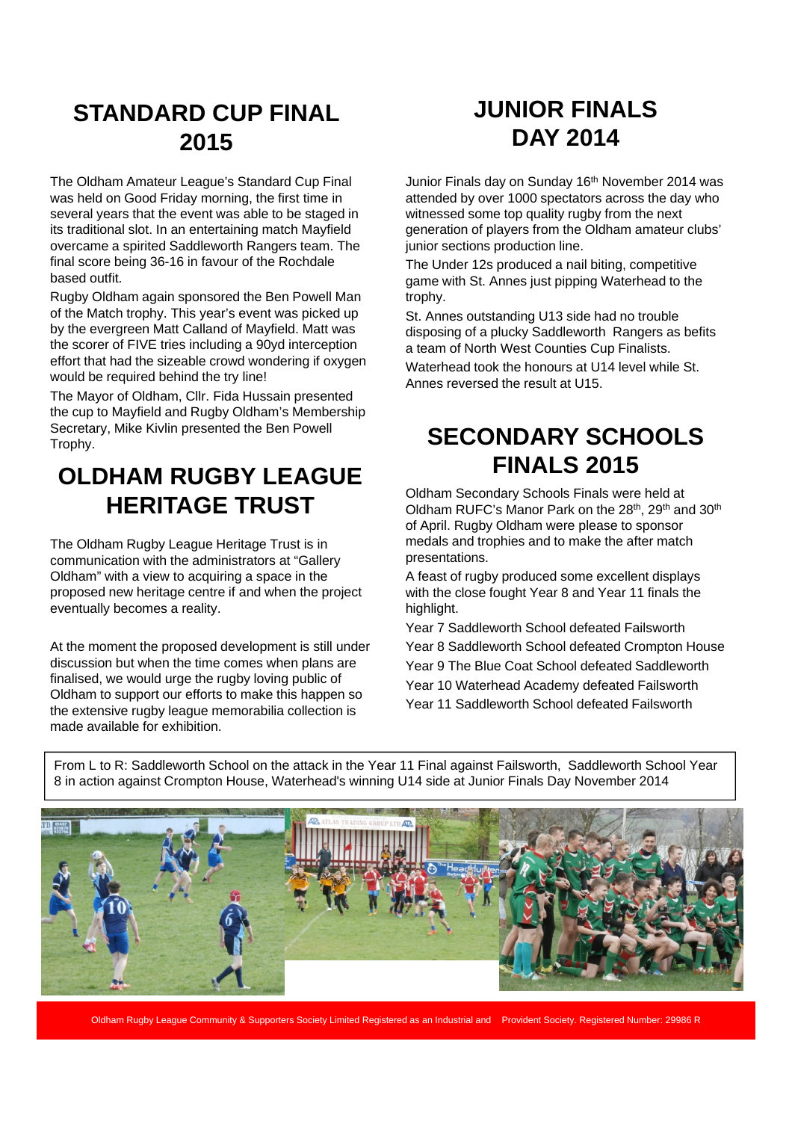#### **STANDARD CUP FINAL 2015**

The Oldham Amateur League's Standard Cup Final was held on Good Friday morning, the first time in several years that the event was able to be staged in its traditional slot. In an entertaining match Mayfield overcame a spirited Saddleworth Rangers team. The final score being 36-16 in favour of the Rochdale based outfit.

Rugby Oldham again sponsored the Ben Powell Man of the Match trophy. This year's event was picked up by the evergreen Matt Calland of Mayfield. Matt was the scorer of FIVE tries including a 90yd interception effort that had the sizeable crowd wondering if oxygen would be required behind the try line!

The Mayor of Oldham, Cllr. Fida Hussain presented the cup to Mayfield and Rugby Oldham's Membership Secretary, Mike Kivlin presented the Ben Powell Trophy.

### **OLDHAM RUGBY LEAGUE HERITAGE TRUST**

The Oldham Rugby League Heritage Trust is in communication with the administrators at "Gallery Oldham" with a view to acquiring a space in the proposed new heritage centre if and when the project eventually becomes a reality.

At the moment the proposed development is still under discussion but when the time comes when plans are finalised, we would urge the rugby loving public of Oldham to support our efforts to make this happen so the extensive rugby league memorabilia collection is made available for exhibition.

# **JUNIOR FINALS DAY 2014**

Junior Finals day on Sunday 16<sup>th</sup> November 2014 was attended by over 1000 spectators across the day who witnessed some top quality rugby from the next generation of players from the Oldham amateur clubs' junior sections production line.

The Under 12s produced a nail biting, competitive game with St. Annes just pipping Waterhead to the trophy.

St. Annes outstanding U13 side had no trouble disposing of a plucky Saddleworth Rangers as befits a team of North West Counties Cup Finalists.

Waterhead took the honours at U14 level while St. Annes reversed the result at U15.

### **SECONDARY SCHOOLS FINALS 2015**

Oldham Secondary Schools Finals were held at Oldham RUFC's Manor Park on the 28<sup>th</sup>, 29<sup>th</sup> and 30<sup>th</sup> of April. Rugby Oldham were please to sponsor medals and trophies and to make the after match presentations.

A feast of rugby produced some excellent displays with the close fought Year 8 and Year 11 finals the highlight.

Year 7 Saddleworth School defeated Failsworth Year 8 Saddleworth School defeated Crompton House Year 9 The Blue Coat School defeated Saddleworth Year 10 Waterhead Academy defeated Failsworth Year 11 Saddleworth School defeated Failsworth

From L to R: Saddleworth School on the attack in the Year 11 Final against Failsworth, Saddleworth School Year 8 in action against Crompton House, Waterhead's winning U14 side at Junior Finals Day November 2014



Oldham Rugby League Community & Supporters Society Limited Registered as an Industrial and Provident Society. Registered Number: 29986 R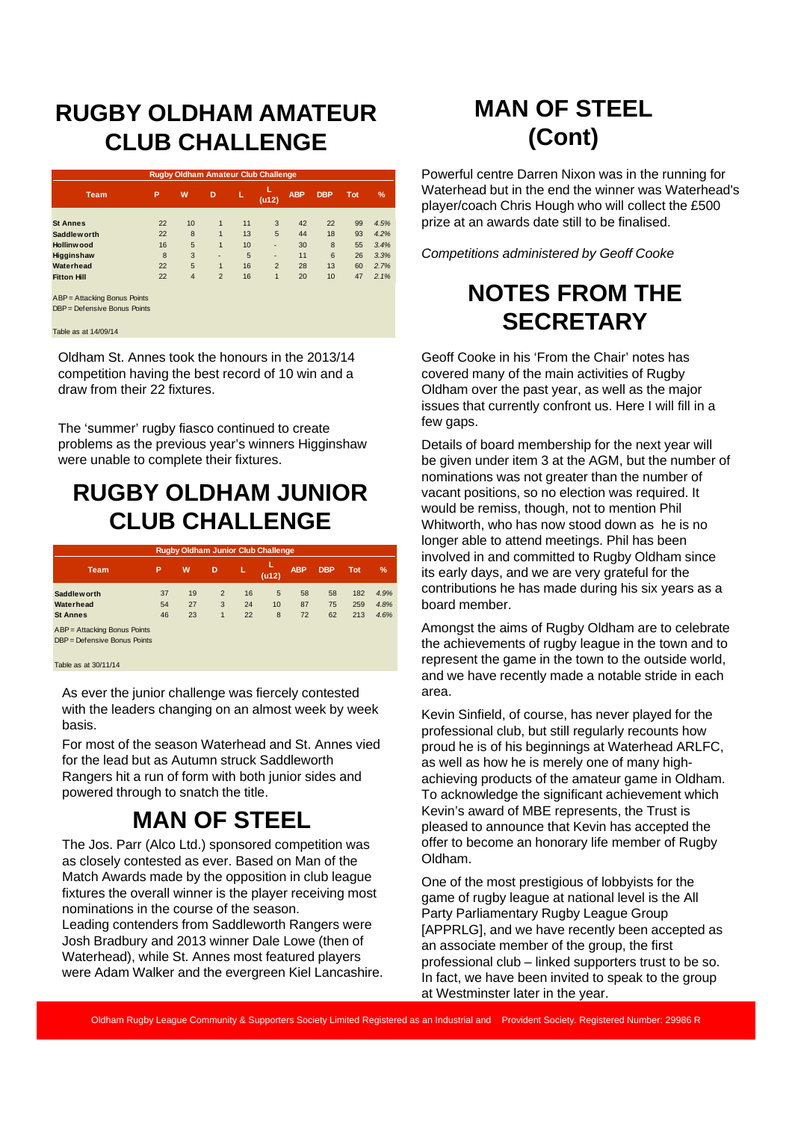#### **RUGBY OLDHAM AMATEUR CLUB CHALLENGE**

| <b>Rugby Oldham Amateur Club Challenge</b> |    |                |                |    |                |            |            |     |               |  |
|--------------------------------------------|----|----------------|----------------|----|----------------|------------|------------|-----|---------------|--|
| <b>Team</b>                                | P  | W              | D              | L  | L<br>(u12)     | <b>ABP</b> | <b>DBP</b> | Tot | $\frac{9}{6}$ |  |
|                                            |    |                |                |    |                |            |            |     |               |  |
| <b>St Annes</b>                            | 22 | 10             | 1              | 11 | 3              | 42         | 22         | 99  | 4.5%          |  |
| Saddlew orth                               | 22 | 8              | 1              | 13 | 5              | 44         | 18         | 93  | 4.2%          |  |
| Hollinwood                                 | 16 | 5              | $\overline{1}$ | 10 | ٠              | 30         | 8          | 55  | 3.4%          |  |
| Higginshaw                                 | 8  | 3              | ۰              | 5  | ٠              | 11         | 6          | 26  | 3.3%          |  |
| Waterhead                                  | 22 | 5              | $\overline{1}$ | 16 | $\overline{2}$ | 28         | 13         | 60  | 2.7%          |  |
| <b>Fitton Hill</b>                         | 22 | $\overline{4}$ | $\overline{2}$ | 16 | 1              | 20         | 10         | 47  | 2.1%          |  |
| ABP = Attacking Bonus Points               |    |                |                |    |                |            |            |     |               |  |

DBP = Defensive Bonus Points

#### Table as at 14/09/14

Oldham St. Annes took the honours in the 2013/14 competition having the best record of 10 win and a draw from their 22 fixtures.

The 'summer' rugby fiasco continued to create problems as the previous year's winners Higginshaw were unable to complete their fixtures.

### **RUGBY OLDHAM JUNIOR CLUB CHALLENGE**

| <b>Rugby Oldham Junior Club Challenge</b>                    |                |                |                                     |                |              |                |                |                   |                      |  |  |
|--------------------------------------------------------------|----------------|----------------|-------------------------------------|----------------|--------------|----------------|----------------|-------------------|----------------------|--|--|
| <b>Team</b>                                                  | P              | W              | D                                   | L              | L<br>(u12)   | <b>ABP</b>     | <b>DBP</b>     | <b>Tot</b>        | $\%$                 |  |  |
| <b>Saddleworth</b><br>Waterhead<br><b>St Annes</b>           | 37<br>54<br>46 | 19<br>27<br>23 | $\overline{2}$<br>3<br>$\mathbf{1}$ | 16<br>24<br>22 | 5<br>10<br>8 | 58<br>87<br>72 | 58<br>75<br>62 | 182<br>259<br>213 | 4.9%<br>4.8%<br>4.6% |  |  |
| ABP = Attacking Bonus Points<br>DBP = Defensive Bonus Points |                |                |                                     |                |              |                |                |                   |                      |  |  |

#### Table as at 30/11/14

As ever the junior challenge was fiercely contested with the leaders changing on an almost week by week basis.

For most of the season Waterhead and St. Annes vied for the lead but as Autumn struck Saddleworth Rangers hit a run of form with both junior sides and powered through to snatch the title.

#### **MAN OF STEEL**

The Jos. Parr (Alco Ltd.) sponsored competition was as closely contested as ever. Based on Man of the Match Awards made by the opposition in club league fixtures the overall winner is the player receiving most nominations in the course of the season. Leading contenders from Saddleworth Rangers were Josh Bradbury and 2013 winner Dale Lowe (then of Waterhead), while St. Annes most featured players were Adam Walker and the evergreen Kiel Lancashire.

# **MAN OF STEEL (Cont)**

Powerful centre Darren Nixon was in the running for Waterhead but in the end the winner was Waterhead's player/coach Chris Hough who will collect the £500 prize at an awards date still to be finalised.

*Competitions administered by Geoff Cooke*

### **NOTES FROM THE SECRETARY**

Geoff Cooke in his 'From the Chair' notes has covered many of the main activities of Rugby Oldham over the past year, as well as the major issues that currently confront us. Here I will fill in a few gaps.

Details of board membership for the next year will be given under item 3 at the AGM, but the number of nominations was not greater than the number of vacant positions, so no election was required. It would be remiss, though, not to mention Phil Whitworth, who has now stood down as he is no longer able to attend meetings. Phil has been involved in and committed to Rugby Oldham since its early days, and we are very grateful for the contributions he has made during his six years as a board member.

Amongst the aims of Rugby Oldham are to celebrate the achievements of rugby league in the town and to represent the game in the town to the outside world, and we have recently made a notable stride in each area.

Kevin Sinfield, of course, has never played for the professional club, but still regularly recounts how proud he is of his beginnings at Waterhead ARLFC, as well as how he is merely one of many highachieving products of the amateur game in Oldham. To acknowledge the significant achievement which Kevin's award of MBE represents, the Trust is pleased to announce that Kevin has accepted the offer to become an honorary life member of Rugby Oldham.

One of the most prestigious of lobbyists for the game of rugby league at national level is the All Party Parliamentary Rugby League Group [APPRLG], and we have recently been accepted as an associate member of the group, the first professional club – linked supporters trust to be so. In fact, we have been invited to speak to the group at Westminster later in the year.